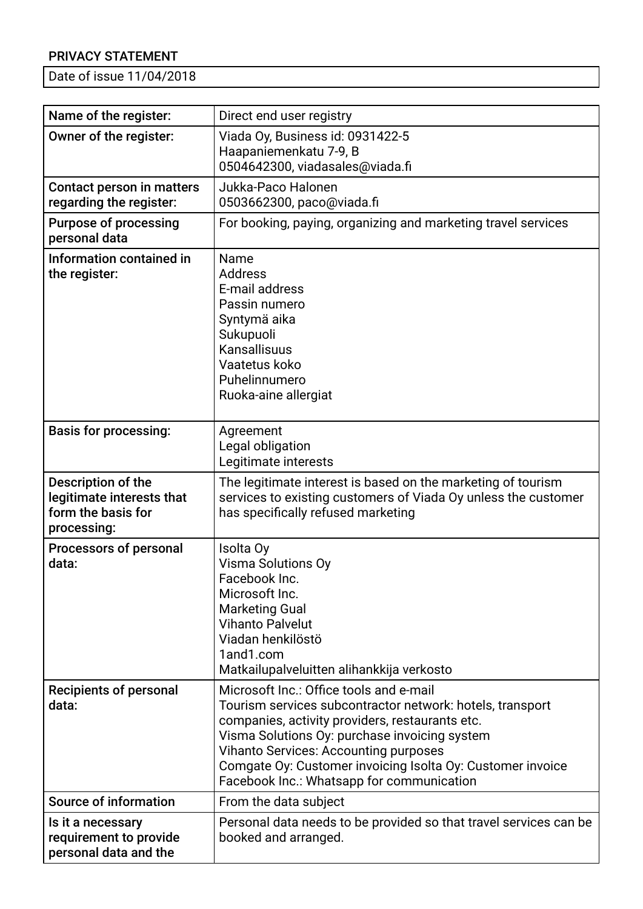## PRIVACY STATEMENT

Date of issue 11/04/2018

| Name of the register:                                                                | Direct end user registry                                                                                                                                                                                                                                                                                                                                            |
|--------------------------------------------------------------------------------------|---------------------------------------------------------------------------------------------------------------------------------------------------------------------------------------------------------------------------------------------------------------------------------------------------------------------------------------------------------------------|
| Owner of the register:                                                               | Viada Oy, Business id: 0931422-5<br>Haapaniemenkatu 7-9, B<br>0504642300, viadasales@viada.fi                                                                                                                                                                                                                                                                       |
| Contact person in matters<br>regarding the register:                                 | Jukka-Paco Halonen<br>0503662300, paco@viada.fi                                                                                                                                                                                                                                                                                                                     |
| <b>Purpose of processing</b><br>personal data                                        | For booking, paying, organizing and marketing travel services                                                                                                                                                                                                                                                                                                       |
| Information contained in<br>the register:                                            | Name<br><b>Address</b><br>E-mail address<br>Passin numero<br>Syntymä aika<br>Sukupuoli<br>Kansallisuus<br>Vaatetus koko<br>Puhelinnumero<br>Ruoka-aine allergiat                                                                                                                                                                                                    |
| <b>Basis for processing:</b>                                                         | Agreement<br>Legal obligation<br>Legitimate interests                                                                                                                                                                                                                                                                                                               |
| Description of the<br>legitimate interests that<br>form the basis for<br>processing: | The legitimate interest is based on the marketing of tourism<br>services to existing customers of Viada Oy unless the customer<br>has specifically refused marketing                                                                                                                                                                                                |
| Processors of personal<br>data:                                                      | Isolta Oy<br>Visma Solutions Oy<br>Facebook Inc.<br>Microsoft Inc.<br><b>Marketing Gual</b><br><b>Vihanto Palvelut</b><br>Viadan henkilöstö<br>1and1.com<br>Matkailupalveluitten alihankkija verkosto                                                                                                                                                               |
| <b>Recipients of personal</b><br>data:                                               | Microsoft Inc.: Office tools and e-mail<br>Tourism services subcontractor network: hotels, transport<br>companies, activity providers, restaurants etc.<br>Visma Solutions Oy: purchase invoicing system<br><b>Vihanto Services: Accounting purposes</b><br>Comgate Oy: Customer invoicing Isolta Oy: Customer invoice<br>Facebook Inc.: Whatsapp for communication |
| <b>Source of information</b>                                                         | From the data subject                                                                                                                                                                                                                                                                                                                                               |
| Is it a necessary<br>requirement to provide<br>personal data and the                 | Personal data needs to be provided so that travel services can be<br>booked and arranged.                                                                                                                                                                                                                                                                           |